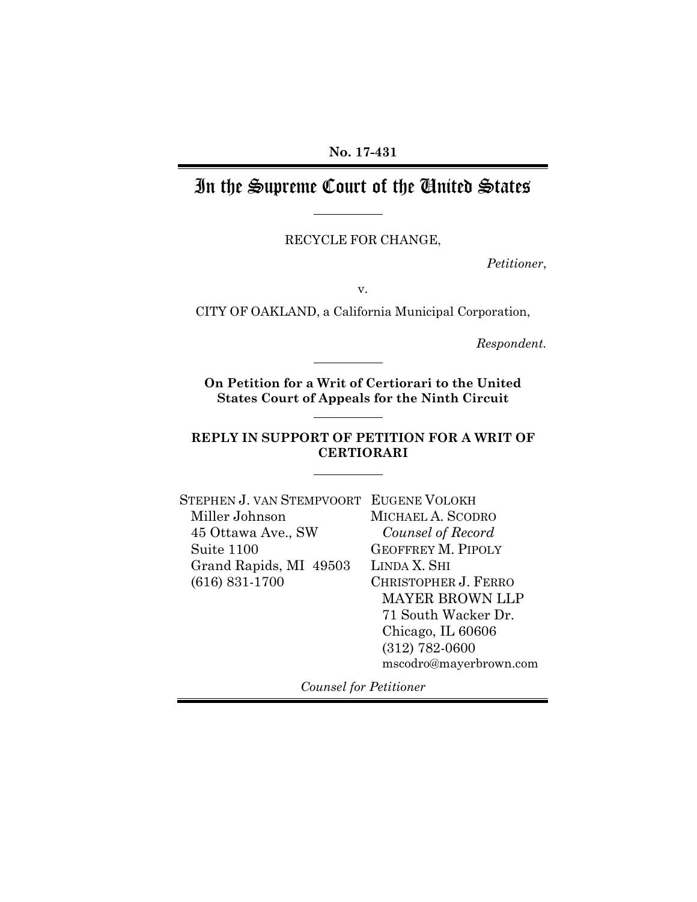**No. 17-431**

# In the Supreme Court of the United States

RECYCLE FOR CHANGE,

*Petitioner*,

v.

CITY OF OAKLAND, a California Municipal Corporation,

*Respondent.*

**On Petition for a Writ of Certiorari to the United States Court of Appeals for the Ninth Circuit**

### **REPLY IN SUPPORT OF PETITION FOR A WRIT OF CERTIORARI**

| STEPHEN J. VAN STEMPVOORT EUGENE VOLOKH |                           |
|-----------------------------------------|---------------------------|
| Miller Johnson                          | MICHAEL A. SCODRO         |
| 45 Ottawa Ave., SW                      | Counsel of Record         |
| Suite 1100                              | <b>GEOFFREY M. PIPOLY</b> |
| Grand Rapids, MI 49503                  | LINDA X. SHI              |
| $(616) 831-1700$                        | CHRISTOPHER J. FERRO      |
|                                         | <b>MAYER BROWN LLP</b>    |
|                                         | 71 South Wacker Dr.       |
|                                         | Chicago, IL 60606         |
|                                         | $(312) 782 - 0600$        |
|                                         | mscodro@mayerbrown.com    |

*Counsel for Petitioner*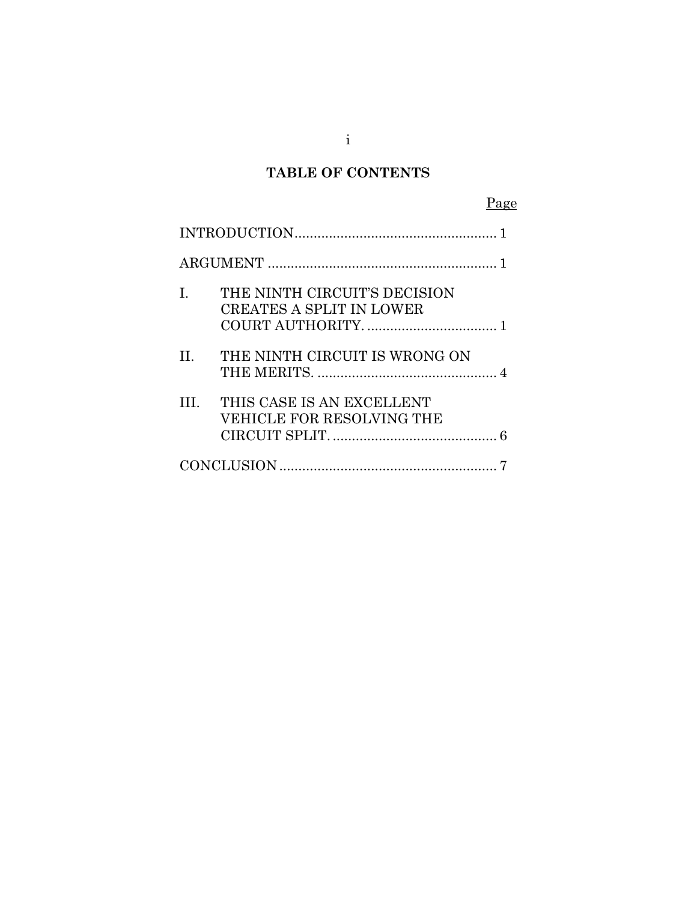# **TABLE OF CONTENTS**

| L       | THE NINTH CIRCUIT'S DECISION<br><b>CREATES A SPLIT IN LOWER</b> |  |
|---------|-----------------------------------------------------------------|--|
| $\Pi$ . | THE NINTH CIRCUIT IS WRONG ON                                   |  |
| III —   | THIS CASE IS AN EXCELLENT<br>VEHICLE FOR RESOLVING THE          |  |
|         |                                                                 |  |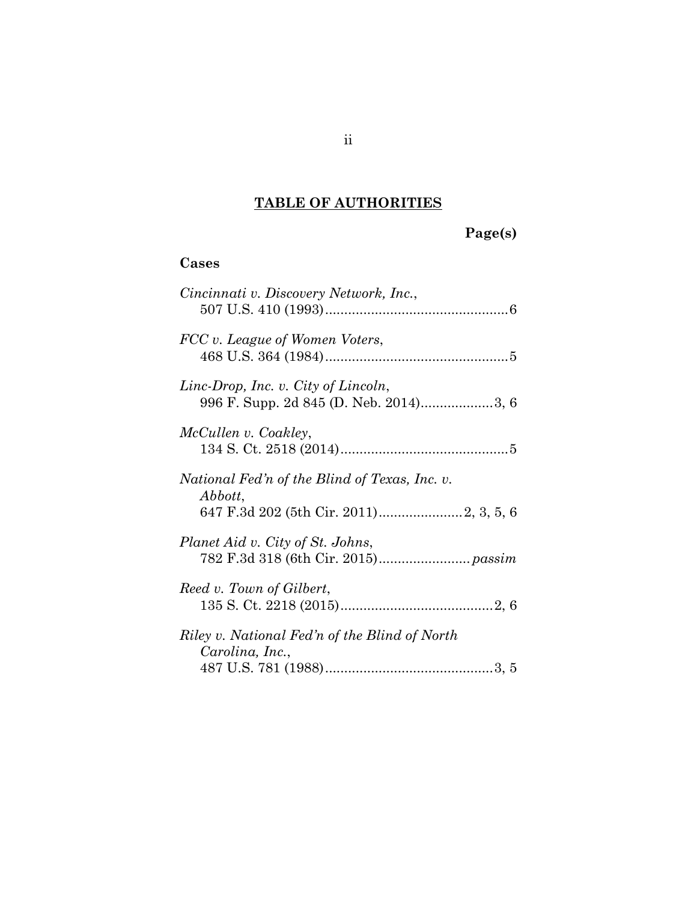# **TABLE OF AUTHORITIES**

# **Page(s)**

## **Cases**

| Cincinnati v. Discovery Network, Inc.,                           |
|------------------------------------------------------------------|
| FCC v. League of Women Voters,                                   |
| Linc-Drop, Inc. v. City of Lincoln,                              |
| McCullen v. Coakley,                                             |
| National Fed'n of the Blind of Texas, Inc. v.<br>Abbott,         |
| Planet Aid v. City of St. Johns,                                 |
| Reed v. Town of Gilbert,                                         |
| Riley v. National Fed'n of the Blind of North<br>Carolina, Inc., |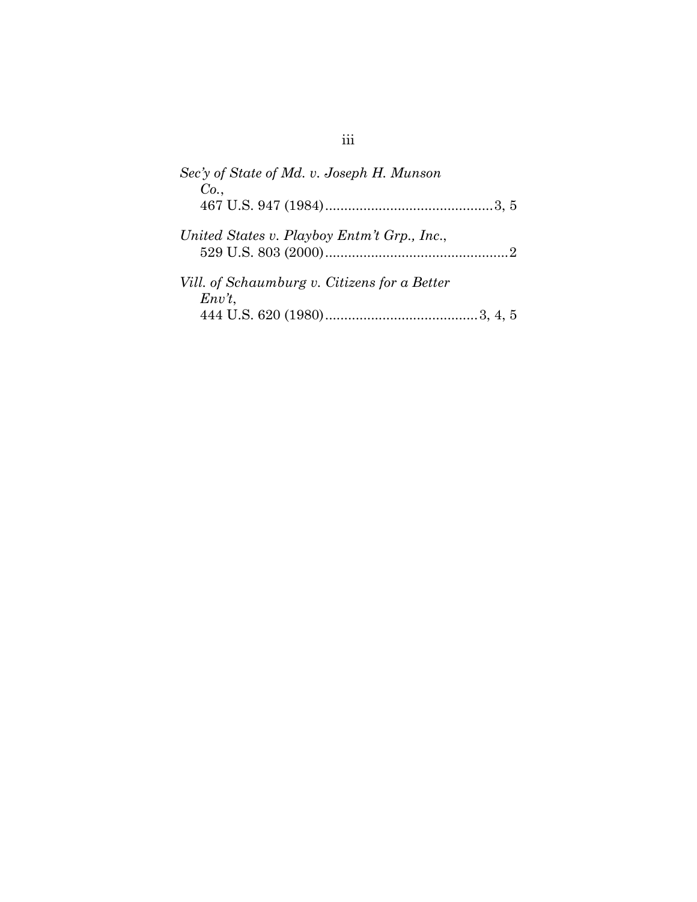| Sec'y of State of Md. v. Joseph H. Munson               |
|---------------------------------------------------------|
| Co.                                                     |
| United States v. Playboy Entm't Grp., Inc.,             |
| Vill. of Schaumburg v. Citizens for a Better<br>$Env$ , |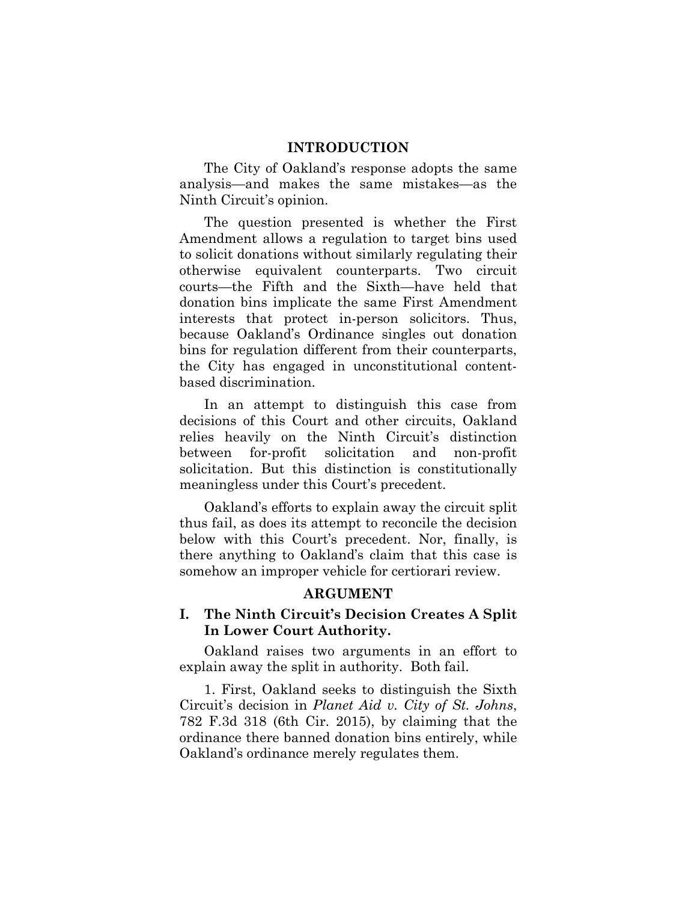#### **INTRODUCTION**

The City of Oakland's response adopts the same analysis—and makes the same mistakes—as the Ninth Circuit's opinion.

The question presented is whether the First Amendment allows a regulation to target bins used to solicit donations without similarly regulating their otherwise equivalent counterparts. Two circuit courts—the Fifth and the Sixth—have held that donation bins implicate the same First Amendment interests that protect in-person solicitors. Thus, because Oakland's Ordinance singles out donation bins for regulation different from their counterparts, the City has engaged in unconstitutional contentbased discrimination.

In an attempt to distinguish this case from decisions of this Court and other circuits, Oakland relies heavily on the Ninth Circuit's distinction between for-profit solicitation and non-profit solicitation. But this distinction is constitutionally meaningless under this Court's precedent.

Oakland's efforts to explain away the circuit split thus fail, as does its attempt to reconcile the decision below with this Court's precedent. Nor, finally, is there anything to Oakland's claim that this case is somehow an improper vehicle for certiorari review.

#### **ARGUMENT**

### **I. The Ninth Circuit's Decision Creates A Split In Lower Court Authority.**

Oakland raises two arguments in an effort to explain away the split in authority. Both fail.

1. First, Oakland seeks to distinguish the Sixth Circuit's decision in *Planet Aid v. City of St. Johns*, 782 F.3d 318 (6th Cir. 2015), by claiming that the ordinance there banned donation bins entirely, while Oakland's ordinance merely regulates them.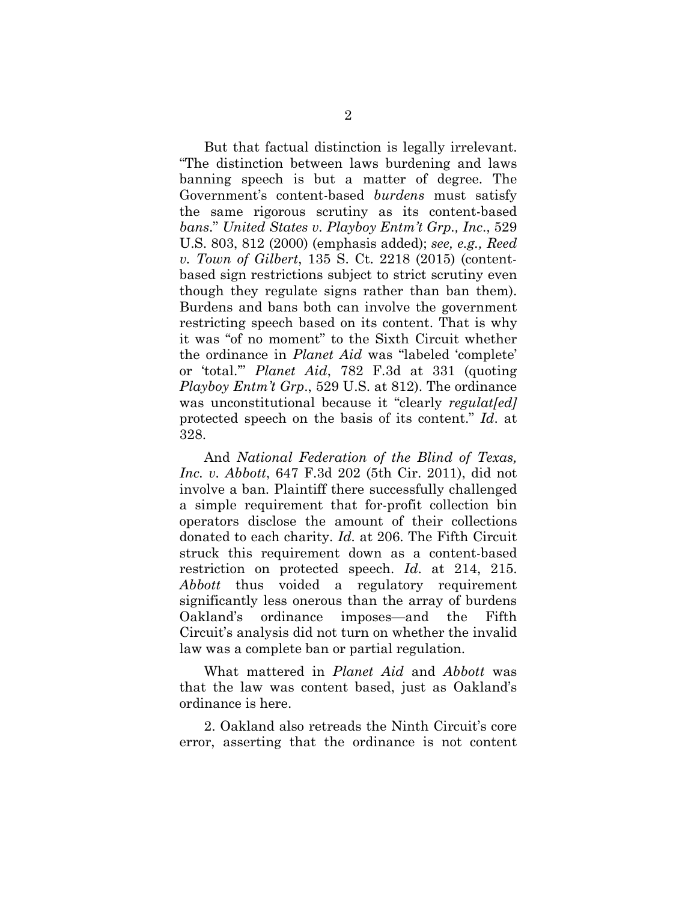But that factual distinction is legally irrelevant. "The distinction between laws burdening and laws banning speech is but a matter of degree. The Government's content-based *burdens* must satisfy the same rigorous scrutiny as its content-based *bans*." *United States v. Playboy Entm't Grp., Inc*., 529 U.S. 803, 812 (2000) (emphasis added); *see, e.g., Reed v. Town of Gilbert*, 135 S. Ct. 2218 (2015) (contentbased sign restrictions subject to strict scrutiny even though they regulate signs rather than ban them). Burdens and bans both can involve the government restricting speech based on its content. That is why it was "of no moment" to the Sixth Circuit whether the ordinance in *Planet Aid* was "labeled 'complete' or 'total.'" *Planet Aid*, 782 F.3d at 331 (quoting *Playboy Entm't Grp*., 529 U.S. at 812). The ordinance was unconstitutional because it "clearly *regulat[ed]* protected speech on the basis of its content." *Id*. at 328.

And *National Federation of the Blind of Texas, Inc. v. Abbott*, 647 F.3d 202 (5th Cir. 2011), did not involve a ban. Plaintiff there successfully challenged a simple requirement that for-profit collection bin operators disclose the amount of their collections donated to each charity. *Id.* at 206. The Fifth Circuit struck this requirement down as a content-based restriction on protected speech. *Id*. at 214, 215. *Abbott* thus voided a regulatory requirement significantly less onerous than the array of burdens Oakland's ordinance imposes—and the Fifth Circuit's analysis did not turn on whether the invalid law was a complete ban or partial regulation.

What mattered in *Planet Aid* and *Abbott* was that the law was content based, just as Oakland's ordinance is here.

2. Oakland also retreads the Ninth Circuit's core error, asserting that the ordinance is not content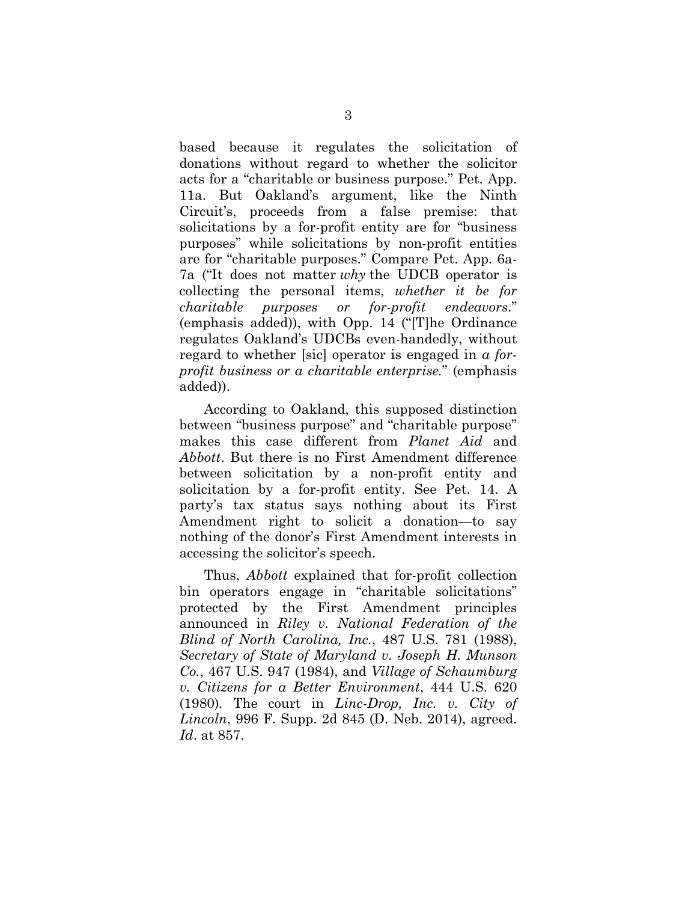based because it regulates the solicitation of donations without regard to whether the solicitor acts for a "charitable or business purpose." Pet. App. 11a. But Oakland's argument, like the Ninth Circuit's, proceeds from a false premise: that solicitations by a for-profit entity are for "business purposes" while solicitations by non-profit entities are for "charitable purposes." Compare Pet. App. 6a-7a ("It does not matter *why* the UDCB operator is collecting the personal items, *whether it be for charitable purposes or for-profit endeavors*." (emphasis added)), with Opp. 14 ("[T]he Ordinance regulates Oakland's UDCBs even-handedly, without regard to whether [sic] operator is engaged in *a forprofit business or a charitable enterprise.*" (emphasis added)).

According to Oakland, this supposed distinction between "business purpose" and "charitable purpose" makes this case different from *Planet Aid* and *Abbott*. But there is no First Amendment difference between solicitation by a non-profit entity and solicitation by a for-profit entity. See Pet. 14. A party's tax status says nothing about its First Amendment right to solicit a donation—to say nothing of the donor's First Amendment interests in accessing the solicitor's speech.

Thus, *Abbott* explained that for-profit collection bin operators engage in "charitable solicitations" protected by the First Amendment principles announced in *Riley v. National Federation of the Blind of North Carolina, Inc.*, 487 U.S. 781 (1988), *Secretary of State of Maryland v. Joseph H. Munson Co.*, 467 U.S. 947 (1984), and *Village of Schaumburg v. Citizens for a Better Environment*, 444 U.S. 620 (1980)*.* The court in *Linc-Drop, Inc. v. City of Lincoln*, 996 F. Supp. 2d 845 (D. Neb. 2014), agreed. *Id*. at 857.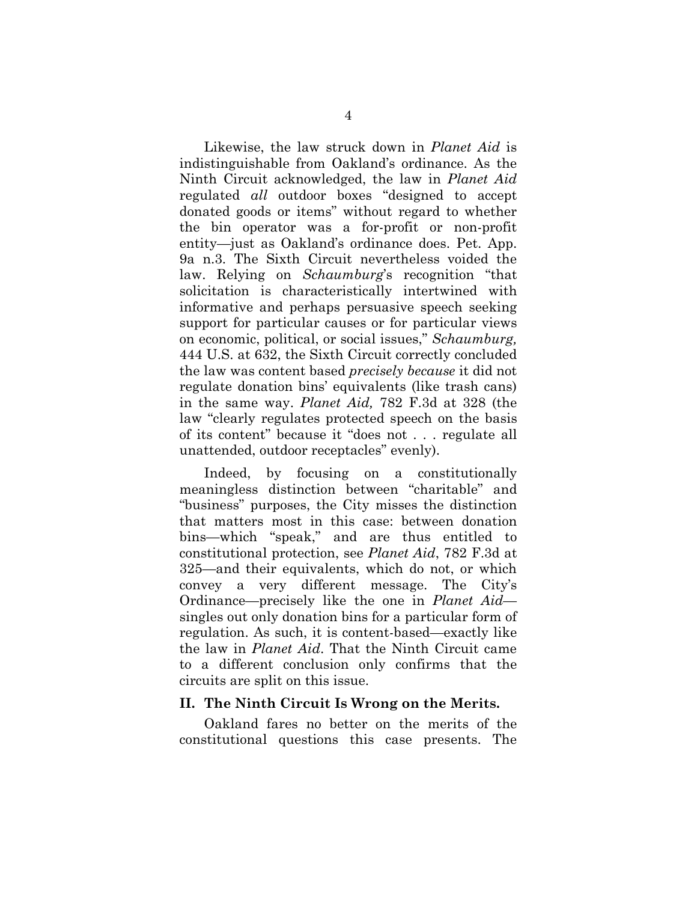Likewise, the law struck down in *Planet Aid* is indistinguishable from Oakland's ordinance. As the Ninth Circuit acknowledged, the law in *Planet Aid* regulated *all* outdoor boxes "designed to accept donated goods or items" without regard to whether the bin operator was a for-profit or non-profit entity—just as Oakland's ordinance does. Pet. App. 9a n.3. The Sixth Circuit nevertheless voided the law. Relying on *Schaumburg*'s recognition "that solicitation is characteristically intertwined with informative and perhaps persuasive speech seeking support for particular causes or for particular views on economic, political, or social issues," *Schaumburg,* 444 U.S. at 632, the Sixth Circuit correctly concluded the law was content based *precisely because* it did not regulate donation bins' equivalents (like trash cans) in the same way. *Planet Aid,* 782 F.3d at 328 (the law "clearly regulates protected speech on the basis of its content" because it "does not . . . regulate all unattended, outdoor receptacles" evenly).

Indeed, by focusing on a constitutionally meaningless distinction between "charitable" and "business" purposes, the City misses the distinction that matters most in this case: between donation bins—which "speak," and are thus entitled to constitutional protection, see *Planet Aid*, 782 F.3d at 325—and their equivalents, which do not, or which convey a very different message. The City's Ordinance—precisely like the one in *Planet Aid* singles out only donation bins for a particular form of regulation. As such, it is content-based—exactly like the law in *Planet Aid*. That the Ninth Circuit came to a different conclusion only confirms that the circuits are split on this issue.

#### **II. The Ninth Circuit Is Wrong on the Merits.**

Oakland fares no better on the merits of the constitutional questions this case presents. The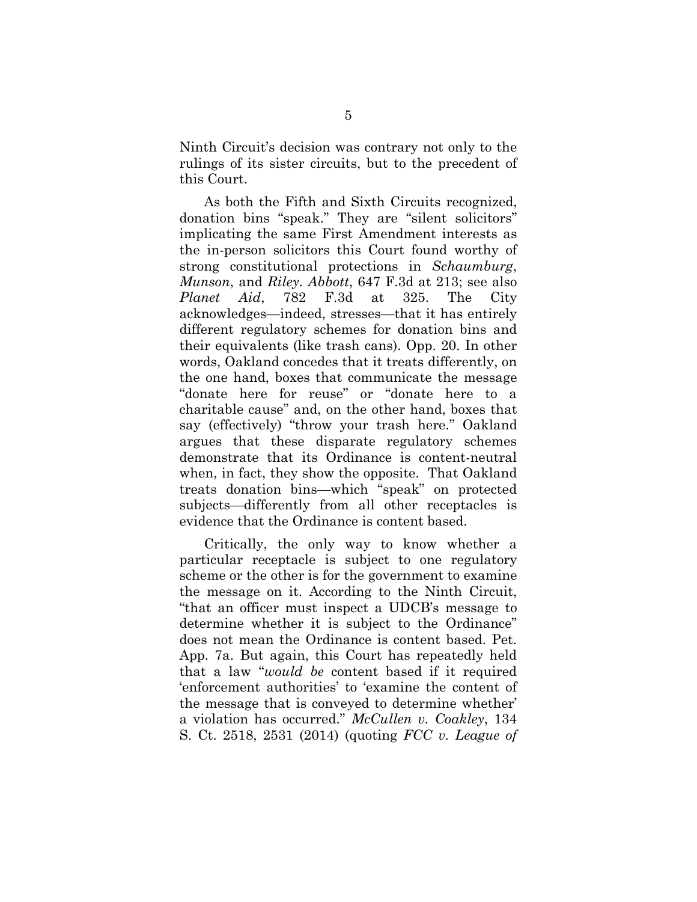Ninth Circuit's decision was contrary not only to the rulings of its sister circuits, but to the precedent of this Court.

As both the Fifth and Sixth Circuits recognized, donation bins "speak." They are "silent solicitors" implicating the same First Amendment interests as the in-person solicitors this Court found worthy of strong constitutional protections in *Schaumburg*, *Munson*, and *Riley*. *Abbott*, 647 F.3d at 213; see also *Planet Aid*, 782 F.3d at 325. The City acknowledges—indeed, stresses—that it has entirely different regulatory schemes for donation bins and their equivalents (like trash cans). Opp. 20. In other words, Oakland concedes that it treats differently, on the one hand, boxes that communicate the message "donate here for reuse" or "donate here to a charitable cause" and, on the other hand, boxes that say (effectively) "throw your trash here." Oakland argues that these disparate regulatory schemes demonstrate that its Ordinance is content-neutral when, in fact, they show the opposite. That Oakland treats donation bins—which "speak" on protected subjects—differently from all other receptacles is evidence that the Ordinance is content based.

Critically, the only way to know whether a particular receptacle is subject to one regulatory scheme or the other is for the government to examine the message on it. According to the Ninth Circuit, "that an officer must inspect a UDCB's message to determine whether it is subject to the Ordinance" does not mean the Ordinance is content based. Pet. App. 7a. But again, this Court has repeatedly held that a law "*would be* content based if it required 'enforcement authorities' to 'examine the content of the message that is conveyed to determine whether' a violation has occurred." *McCullen v. Coakley*, 134 S. Ct. 2518, 2531 (2014) (quoting *FCC v. League of*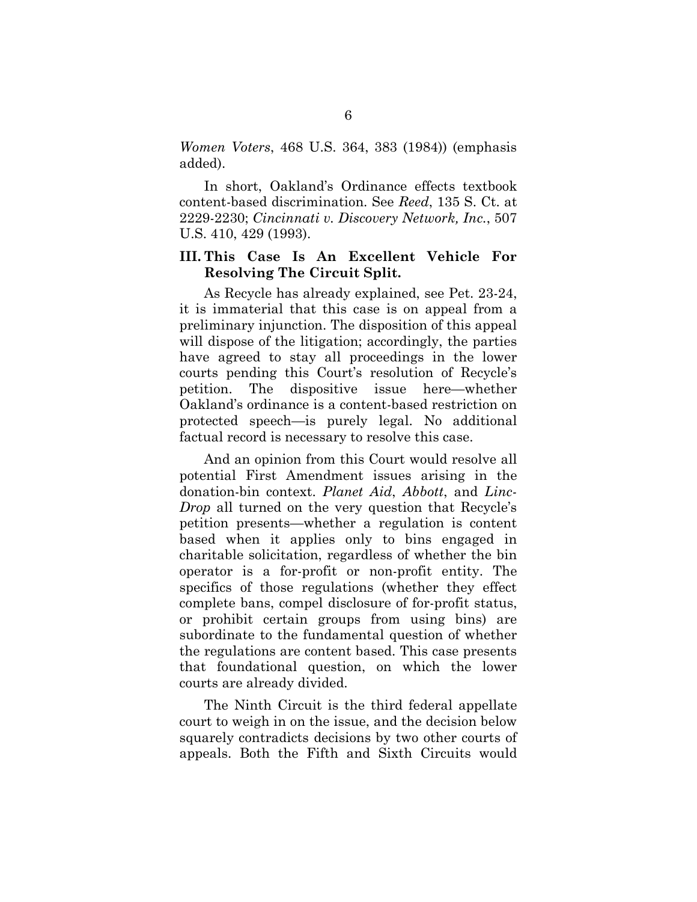*Women Voters*, 468 U.S. 364, 383 (1984)) (emphasis added).

In short, Oakland's Ordinance effects textbook content-based discrimination. See *Reed*, 135 S. Ct. at 2229-2230; *Cincinnati v. Discovery Network, Inc.*, 507 U.S. 410, 429 (1993).

### **III. This Case Is An Excellent Vehicle For Resolving The Circuit Split.**

As Recycle has already explained, see Pet. 23-24, it is immaterial that this case is on appeal from a preliminary injunction. The disposition of this appeal will dispose of the litigation; accordingly, the parties have agreed to stay all proceedings in the lower courts pending this Court's resolution of Recycle's petition. The dispositive issue here—whether Oakland's ordinance is a content-based restriction on protected speech—is purely legal. No additional factual record is necessary to resolve this case.

And an opinion from this Court would resolve all potential First Amendment issues arising in the donation-bin context. *Planet Aid*, *Abbott*, and *Linc-Drop* all turned on the very question that Recycle's petition presents—whether a regulation is content based when it applies only to bins engaged in charitable solicitation, regardless of whether the bin operator is a for-profit or non-profit entity. The specifics of those regulations (whether they effect complete bans, compel disclosure of for-profit status, or prohibit certain groups from using bins) are subordinate to the fundamental question of whether the regulations are content based. This case presents that foundational question, on which the lower courts are already divided.

The Ninth Circuit is the third federal appellate court to weigh in on the issue, and the decision below squarely contradicts decisions by two other courts of appeals. Both the Fifth and Sixth Circuits would